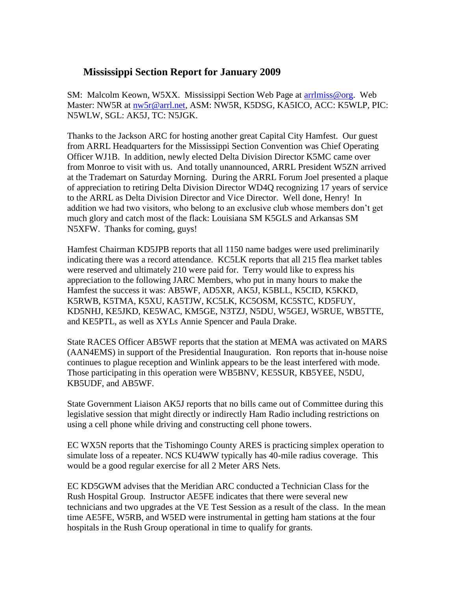## **Mississippi Section Report for January 2009**

SM: Malcolm Keown, W5XX. Mississippi Section Web Page at [arrlmiss@org.](mailto:arrlmiss@org) Web Master: NW5R at [nw5r@arrl.net,](mailto:nw5r@arrl.net) ASM: NW5R, K5DSG, KA5ICO, ACC: K5WLP, PIC: N5WLW, SGL: AK5J, TC: N5JGK.

Thanks to the Jackson ARC for hosting another great Capital City Hamfest. Our guest from ARRL Headquarters for the Mississippi Section Convention was Chief Operating Officer WJ1B. In addition, newly elected Delta Division Director K5MC came over from Monroe to visit with us. And totally unannounced, ARRL President W5ZN arrived at the Trademart on Saturday Morning. During the ARRL Forum Joel presented a plaque of appreciation to retiring Delta Division Director WD4Q recognizing 17 years of service to the ARRL as Delta Division Director and Vice Director. Well done, Henry! In addition we had two visitors, who belong to an exclusive club whose members don't get much glory and catch most of the flack: Louisiana SM K5GLS and Arkansas SM N5XFW. Thanks for coming, guys!

Hamfest Chairman KD5JPB reports that all 1150 name badges were used preliminarily indicating there was a record attendance. KC5LK reports that all 215 flea market tables were reserved and ultimately 210 were paid for. Terry would like to express his appreciation to the following JARC Members, who put in many hours to make the Hamfest the success it was: AB5WF, AD5XR, AK5J, K5BLL, K5CID, K5KKD, K5RWB, K5TMA, K5XU, KA5TJW, KC5LK, KC5OSM, KC5STC, KD5FUY, KD5NHJ, KE5JKD, KE5WAC, KM5GE, N3TZJ, N5DU, W5GEJ, W5RUE, WB5TTE, and KE5PTL, as well as XYLs Annie Spencer and Paula Drake.

State RACES Officer AB5WF reports that the station at MEMA was activated on MARS (AAN4EMS) in support of the Presidential Inauguration. Ron reports that in-house noise continues to plague reception and Winlink appears to be the least interfered with mode. Those participating in this operation were WB5BNV, KE5SUR, KB5YEE, N5DU, KB5UDF, and AB5WF.

State Government Liaison AK5J reports that no bills came out of Committee during this legislative session that might directly or indirectly Ham Radio including restrictions on using a cell phone while driving and constructing cell phone towers.

EC WX5N reports that the Tishomingo County ARES is practicing simplex operation to simulate loss of a repeater. NCS KU4WW typically has 40-mile radius coverage. This would be a good regular exercise for all 2 Meter ARS Nets.

EC KD5GWM advises that the Meridian ARC conducted a Technician Class for the Rush Hospital Group. Instructor AE5FE indicates that there were several new technicians and two upgrades at the VE Test Session as a result of the class. In the mean time AE5FE, W5RB, and W5ED were instrumental in getting ham stations at the four hospitals in the Rush Group operational in time to qualify for grants.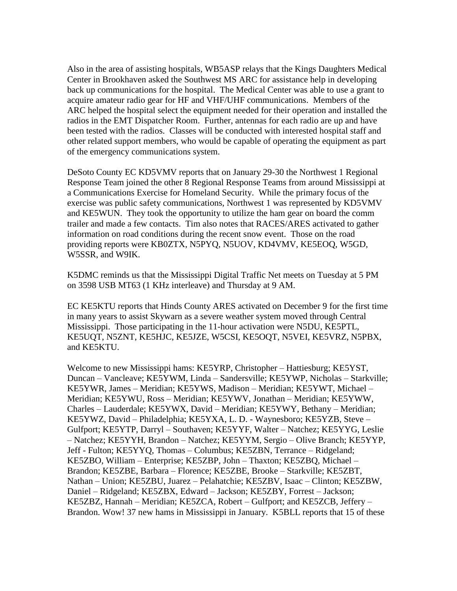Also in the area of assisting hospitals, WB5ASP relays that the Kings Daughters Medical Center in Brookhaven asked the Southwest MS ARC for assistance help in developing back up communications for the hospital. The Medical Center was able to use a grant to acquire amateur radio gear for HF and VHF/UHF communications. Members of the ARC helped the hospital select the equipment needed for their operation and installed the radios in the EMT Dispatcher Room. Further, antennas for each radio are up and have been tested with the radios. Classes will be conducted with interested hospital staff and other related support members, who would be capable of operating the equipment as part of the emergency communications system.

DeSoto County EC KD5VMV reports that on January 29-30 the Northwest 1 Regional Response Team joined the other 8 Regional Response Teams from around Mississippi at a Communications Exercise for Homeland Security. While the primary focus of the exercise was public safety communications, Northwest 1 was represented by KD5VMV and KE5WUN. They took the opportunity to utilize the ham gear on board the comm trailer and made a few contacts. Tim also notes that RACES/ARES activated to gather information on road conditions during the recent snow event. Those on the road providing reports were KB0ZTX, N5PYQ, N5UOV, KD4VMV, KE5EOQ, W5GD, W5SSR, and W9IK.

K5DMC reminds us that the Mississippi Digital Traffic Net meets on Tuesday at 5 PM on 3598 USB MT63 (1 KHz interleave) and Thursday at 9 AM.

EC KE5KTU reports that Hinds County ARES activated on December 9 for the first time in many years to assist Skywarn as a severe weather system moved through Central Mississippi. Those participating in the 11-hour activation were N5DU, KE5PTL, KE5UQT, N5ZNT, KE5HJC, KE5JZE, W5CSI, KE5OQT, N5VEI, KE5VRZ, N5PBX, and KE5KTU.

Welcome to new Mississippi hams: KE5YRP, Christopher – Hattiesburg; KE5YST, Duncan – Vancleave; KE5YWM, Linda – Sandersville; KE5YWP, Nicholas – Starkville; KE5YWR, James – Meridian; KE5YWS, Madison – Meridian; KE5YWT, Michael – Meridian; KE5YWU, Ross – Meridian; KE5YWV, Jonathan – Meridian; KE5YWW, Charles – Lauderdale; KE5YWX, David – Meridian; KE5YWY, Bethany – Meridian; KE5YWZ, David – Philadelphia; KE5YXA, L. D. - Waynesboro; KE5YZB, Steve – Gulfport; KE5YTP, Darryl – Southaven; KE5YYF, Walter – Natchez; KE5YYG, Leslie – Natchez; KE5YYH, Brandon – Natchez; KE5YYM, Sergio – Olive Branch; KE5YYP, Jeff - Fulton; KE5YYQ, Thomas – Columbus; KE5ZBN, Terrance – Ridgeland; KE5ZBO, William – Enterprise; KE5ZBP, John – Thaxton; KE5ZBQ, Michael – Brandon; KE5ZBE, Barbara – Florence; KE5ZBE, Brooke – Starkville; KE5ZBT, Nathan – Union; KE5ZBU, Juarez – Pelahatchie; KE5ZBV, Isaac – Clinton; KE5ZBW, Daniel – Ridgeland; KE5ZBX, Edward – Jackson; KE5ZBY, Forrest – Jackson; KE5ZBZ, Hannah – Meridian; KE5ZCA, Robert – Gulfport; and KE5ZCB, Jeffery – Brandon. Wow! 37 new hams in Mississippi in January. K5BLL reports that 15 of these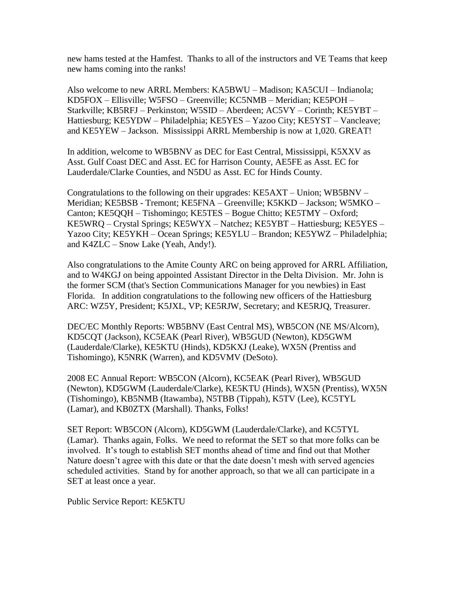new hams tested at the Hamfest. Thanks to all of the instructors and VE Teams that keep new hams coming into the ranks!

Also welcome to new ARRL Members: KA5BWU – Madison; KA5CUI – Indianola; KD5FOX – Ellisville; W5FSO – Greenville; KC5NMB – Meridian; KE5POH – Starkville; KB5RFJ – Perkinston; W5SID – Aberdeen; AC5VY – Corinth; KE5YBT – Hattiesburg; KE5YDW – Philadelphia; KE5YES – Yazoo City; KE5YST – Vancleave; and KE5YEW – Jackson. Mississippi ARRL Membership is now at 1,020. GREAT!

In addition, welcome to WB5BNV as DEC for East Central, Mississippi, K5XXV as Asst. Gulf Coast DEC and Asst. EC for Harrison County, AE5FE as Asst. EC for Lauderdale/Clarke Counties, and N5DU as Asst. EC for Hinds County.

Congratulations to the following on their upgrades: KE5AXT – Union; WB5BNV – Meridian; KE5BSB - Tremont; KE5FNA – Greenville; K5KKD – Jackson; W5MKO – Canton; KE5QQH – Tishomingo; KE5TES – Bogue Chitto; KE5TMY – Oxford; KE5WRQ – Crystal Springs; KE5WYX – Natchez; KE5YBT – Hattiesburg; KE5YES – Yazoo City; KE5YKH – Ocean Springs; KE5YLU – Brandon; KE5YWZ – Philadelphia; and K4ZLC – Snow Lake (Yeah, Andy!).

Also congratulations to the Amite County ARC on being approved for ARRL Affiliation, and to W4KGJ on being appointed Assistant Director in the Delta Division. Mr. John is the former SCM (that's Section Communications Manager for you newbies) in East Florida. In addition congratulations to the following new officers of the Hattiesburg ARC: WZ5Y, President; K5JXL, VP; KE5RJW, Secretary; and KE5RJQ, Treasurer.

DEC/EC Monthly Reports: WB5BNV (East Central MS), WB5CON (NE MS/Alcorn), KD5CQT (Jackson), KC5EAK (Pearl River), WB5GUD (Newton), KD5GWM (Lauderdale/Clarke), KE5KTU (Hinds), KD5KXJ (Leake), WX5N (Prentiss and Tishomingo), K5NRK (Warren), and KD5VMV (DeSoto).

2008 EC Annual Report: WB5CON (Alcorn), KC5EAK (Pearl River), WB5GUD (Newton), KD5GWM (Lauderdale/Clarke), KE5KTU (Hinds), WX5N (Prentiss), WX5N (Tishomingo), KB5NMB (Itawamba), N5TBB (Tippah), K5TV (Lee), KC5TYL (Lamar), and KB0ZTX (Marshall). Thanks, Folks!

SET Report: WB5CON (Alcorn), KD5GWM (Lauderdale/Clarke), and KC5TYL (Lamar). Thanks again, Folks. We need to reformat the SET so that more folks can be involved. It's tough to establish SET months ahead of time and find out that Mother Nature doesn't agree with this date or that the date doesn't mesh with served agencies scheduled activities. Stand by for another approach, so that we all can participate in a SET at least once a year.

Public Service Report: KE5KTU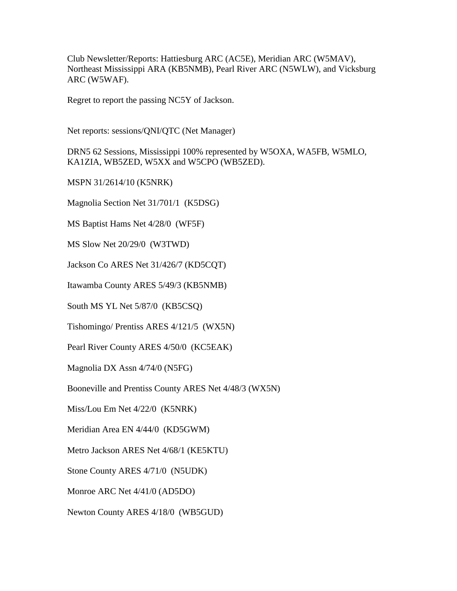Club Newsletter/Reports: Hattiesburg ARC (AC5E), Meridian ARC (W5MAV), Northeast Mississippi ARA (KB5NMB), Pearl River ARC (N5WLW), and Vicksburg ARC (W5WAF).

Regret to report the passing NC5Y of Jackson.

Net reports: sessions/QNI/QTC (Net Manager)

DRN5 62 Sessions, Mississippi 100% represented by W5OXA, WA5FB, W5MLO, KA1ZIA, WB5ZED, W5XX and W5CPO (WB5ZED).

MSPN 31/2614/10 (K5NRK)

Magnolia Section Net 31/701/1 (K5DSG)

MS Baptist Hams Net 4/28/0 (WF5F)

MS Slow Net 20/29/0 (W3TWD)

Jackson Co ARES Net 31/426/7 (KD5CQT)

Itawamba County ARES 5/49/3 (KB5NMB)

South MS YL Net 5/87/0 (KB5CSQ)

Tishomingo/ Prentiss ARES 4/121/5 (WX5N)

Pearl River County ARES 4/50/0 (KC5EAK)

Magnolia DX Assn 4/74/0 (N5FG)

Booneville and Prentiss County ARES Net 4/48/3 (WX5N)

Miss/Lou Em Net 4/22/0 (K5NRK)

Meridian Area EN 4/44/0 (KD5GWM)

Metro Jackson ARES Net 4/68/1 (KE5KTU)

Stone County ARES 4/71/0 (N5UDK)

Monroe ARC Net 4/41/0 (AD5DO)

Newton County ARES 4/18/0 (WB5GUD)